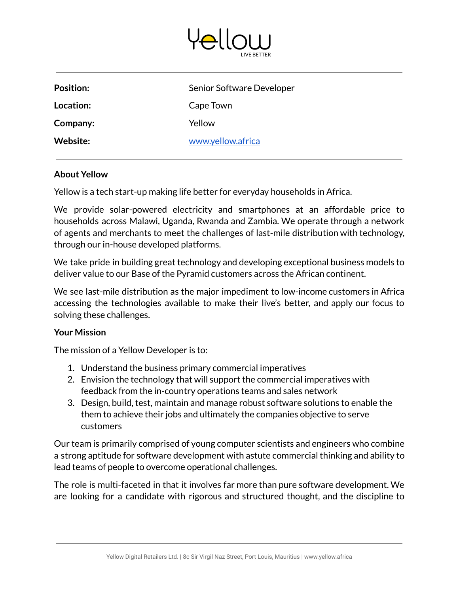

| <b>Position:</b> | Senior Software Developer |
|------------------|---------------------------|
| Location:        | Cape Town                 |
| Company:         | Yellow                    |
| Website:         | www.yellow.africa         |

## **About Yellow**

Yellow is a tech start-up making life better for everyday households in Africa.

We provide solar-powered electricity and smartphones at an affordable price to households across Malawi, Uganda, Rwanda and Zambia. We operate through a network of agents and merchants to meet the challenges of last-mile distribution with technology, through our in-house developed platforms.

We take pride in building great technology and developing exceptional business models to deliver value to our Base of the Pyramid customers across the African continent.

We see last-mile distribution as the major impediment to low-income customers in Africa accessing the technologies available to make their live's better, and apply our focus to solving these challenges.

# **Your Mission**

The mission of a Yellow Developer is to:

- 1. Understand the business primary commercial imperatives
- 2. Envision the technology that will support the commercial imperatives with feedback from the in-country operations teams and sales network
- 3. Design, build, test, maintain and manage robust software solutions to enable the them to achieve their jobs and ultimately the companies objective to serve customers

Our team is primarily comprised of young computer scientists and engineers who combine a strong aptitude for software development with astute commercial thinking and ability to lead teams of people to overcome operational challenges.

The role is multi-faceted in that it involves far more than pure software development. We are looking for a candidate with rigorous and structured thought, and the discipline to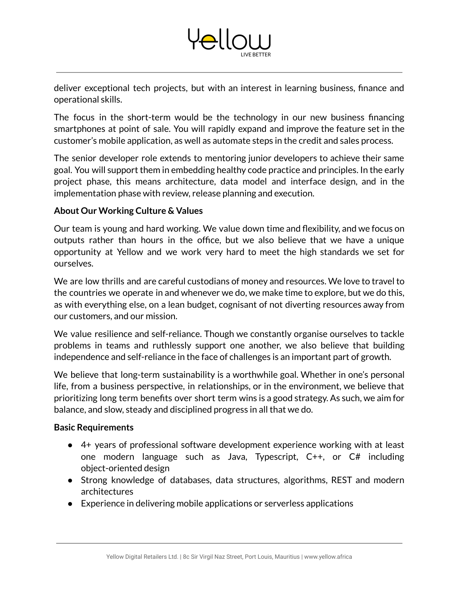

The focus in the short-term would be the technology in our new business financing smartphones at point of sale. You will rapidly expand and improve the feature set in the customer's mobile application, as well as automate steps in the credit and sales process.

The senior developer role extends to mentoring junior developers to achieve their same goal. You will support them in embedding healthy code practice and principles. In the early project phase, this means architecture, data model and interface design, and in the implementation phase with review, release planning and execution.

# **About Our Working Culture & Values**

Our team is young and hard working. We value down time and flexibility, and we focus on outputs rather than hours in the office, but we also believe that we have a unique opportunity at Yellow and we work very hard to meet the high standards we set for ourselves.

We are low thrills and are careful custodians of money and resources. We love to travel to the countries we operate in and whenever we do, we make time to explore, but we do this, as with everything else, on a lean budget, cognisant of not diverting resources away from our customers, and our mission.

We value resilience and self-reliance. Though we constantly organise ourselves to tackle problems in teams and ruthlessly support one another, we also believe that building independence and self-reliance in the face of challenges is an important part of growth.

We believe that long-term sustainability is a worthwhile goal. Whether in one's personal life, from a business perspective, in relationships, or in the environment, we believe that prioritizing long term benefits over short term wins is a good strategy. As such, we aim for balance, and slow, steady and disciplined progress in all that we do.

# **Basic Requirements**

- 4+ years of professional software development experience working with at least one modern language such as Java, Typescript, C++, or C# including object-oriented design
- Strong knowledge of databases, data structures, algorithms, REST and modern architectures
- Experience in delivering mobile applications or serverless applications